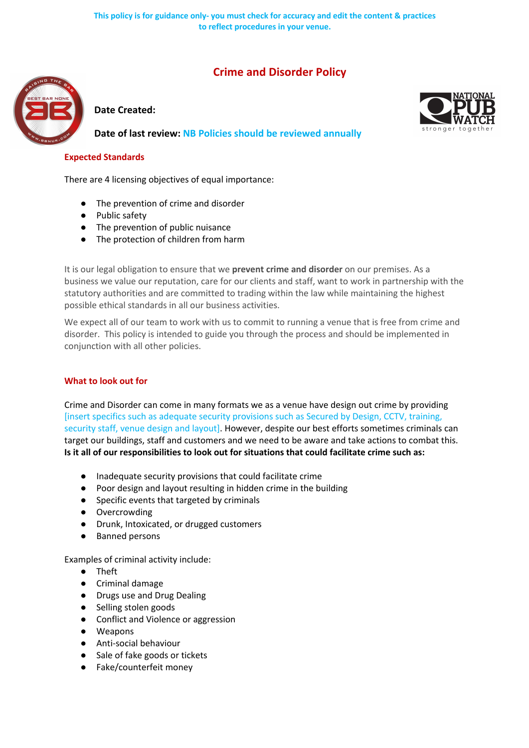# **Crime and Disorder Policy**



**Date Created:**

**Date of last review: NB Policies should be reviewed annually**



#### **Expected Standards**

There are 4 licensing objectives of equal importance:

- The prevention of crime and disorder
- Public safety
- The prevention of public nuisance
- The protection of children from harm

It is our legal obligation to ensure that we **prevent crime and disorder** on our premises. As a business we value our reputation, care for our clients and staff, want to work in partnership with the statutory authorities and are committed to trading within the law while maintaining the highest possible ethical standards in all our business activities.

We expect all of our team to work with us to commit to running a venue that is free from crime and disorder. This policy is intended to guide you through the process and should be implemented in conjunction with all other policies.

## **What to look out for**

Crime and Disorder can come in many formats we as a venue have design out crime by providing [insert specifics such as adequate security provisions such as Secured by Design, CCTV, training, security staff, venue design and layout]. However, despite our best efforts sometimes criminals can target our buildings, staff and customers and we need to be aware and take actions to combat this. **Is it all of our responsibilities to look out for situations that could facilitate crime such as:** 

- Inadequate security provisions that could facilitate crime
- Poor design and layout resulting in hidden crime in the building
- Specific events that targeted by criminals
- Overcrowding
- Drunk, Intoxicated, or drugged customers
- **Banned persons**

Examples of criminal activity include:

- Theft
- Criminal damage
- Drugs use and Drug Dealing
- Selling stolen goods
- Conflict and Violence or aggression
- Weapons
- Anti-social behaviour
- Sale of fake goods or tickets
- Fake/counterfeit money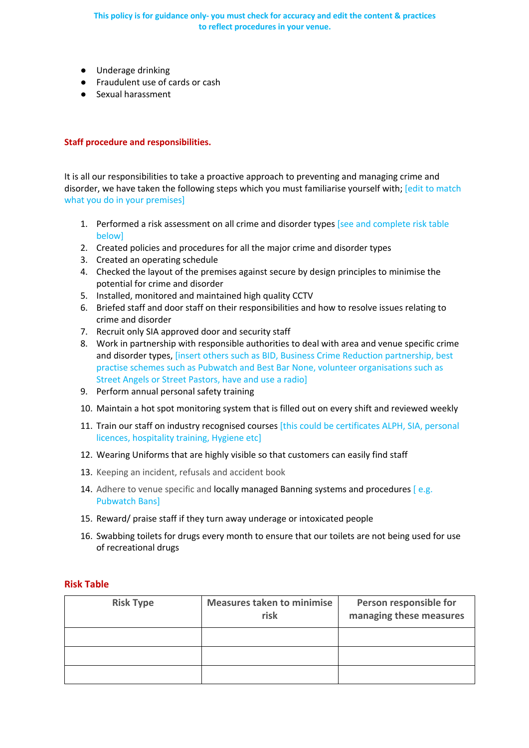**This policy is for guidance only- you must check for accuracy and edit the content & practices to reflect procedures in your venue.**

- Underage drinking
- Fraudulent use of cards or cash
- Sexual harassment

#### **Staff procedure and responsibilities.**

It is all our responsibilities to take a proactive approach to preventing and managing crime and disorder, we have taken the following steps which you must familiarise yourself with; [edit to match what you do in your premises]

- 1. Performed a risk assessment on all crime and disorder types [see and complete risk table below]
- 2. Created policies and procedures for all the major crime and disorder types
- 3. Created an operating schedule
- 4. Checked the layout of the premises against secure by design principles to minimise the potential for crime and disorder
- 5. Installed, monitored and maintained high quality CCTV
- 6. Briefed staff and door staff on their responsibilities and how to resolve issues relating to crime and disorder
- 7. Recruit only SIA approved door and security staff
- 8. Work in partnership with responsible authorities to deal with area and venue specific crime and disorder types, [insert others such as BID, Business Crime Reduction partnership, best practise schemes such as Pubwatch and Best Bar None, volunteer organisations such as Street Angels or Street Pastors, have and use a radio]
- 9. Perform annual personal safety training
- 10. Maintain a hot spot monitoring system that is filled out on every shift and reviewed weekly
- 11. Train our staff on industry recognised courses [this could be certificates ALPH, SIA, personal licences, hospitality training, Hygiene etc]
- 12. Wearing Uniforms that are highly visible so that customers can easily find staff
- 13. Keeping an incident, refusals and accident book
- 14. Adhere to venue specific and locally managed Banning systems and procedures [e.g. Pubwatch Bans]
- 15. Reward/ praise staff if they turn away underage or intoxicated people
- 16. Swabbing toilets for drugs every month to ensure that our toilets are not being used for use of recreational drugs

#### **Risk Table**

| <b>Risk Type</b> | <b>Measures taken to minimise</b><br>risk | Person responsible for<br>managing these measures |
|------------------|-------------------------------------------|---------------------------------------------------|
|                  |                                           |                                                   |
|                  |                                           |                                                   |
|                  |                                           |                                                   |